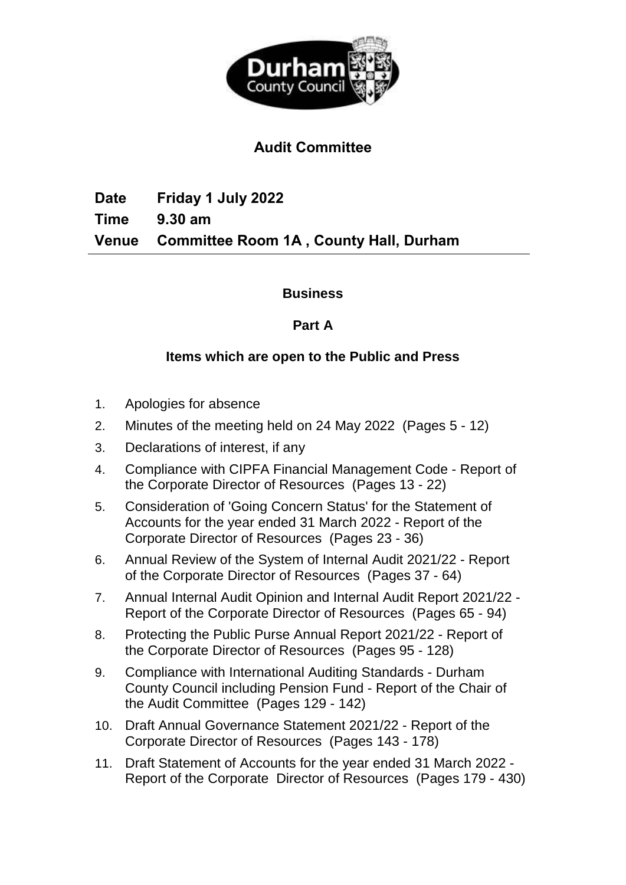

# **Audit Committee**

**Date Friday 1 July 2022 Time 9.30 am Venue Committee Room 1A , County Hall, Durham**

### **Business**

### **Part A**

### **Items which are open to the Public and Press**

- 1. Apologies for absence
- 2. Minutes of the meeting held on 24 May 2022(Pages 5 12)
- 3. Declarations of interest, if any
- 4. Compliance with CIPFA Financial Management Code Report of the Corporate Director of Resources(Pages 13 - 22)
- 5. Consideration of 'Going Concern Status' for the Statement of Accounts for the year ended 31 March 2022 - Report of the Corporate Director of Resources(Pages 23 - 36)
- 6. Annual Review of the System of Internal Audit 2021/22 Report of the Corporate Director of Resources(Pages 37 - 64)
- 7. Annual Internal Audit Opinion and Internal Audit Report 2021/22 Report of the Corporate Director of Resources(Pages 65 - 94)
- 8. Protecting the Public Purse Annual Report 2021/22 Report of the Corporate Director of Resources(Pages 95 - 128)
- 9. Compliance with International Auditing Standards Durham County Council including Pension Fund - Report of the Chair of the Audit Committee(Pages 129 - 142)
- 10. Draft Annual Governance Statement 2021/22 Report of the Corporate Director of Resources(Pages 143 - 178)
- 11. Draft Statement of Accounts for the year ended 31 March 2022 Report of the Corporate Director of Resources(Pages 179 - 430)